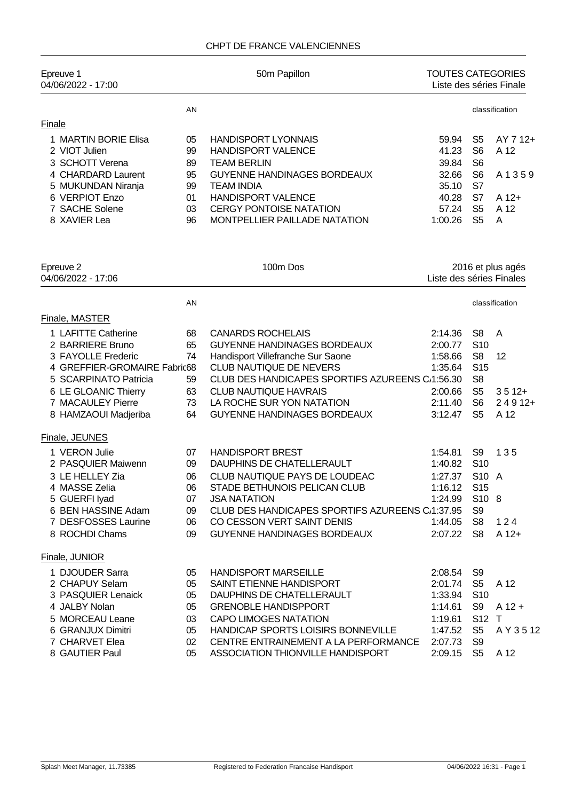## CHPT DE FRANCE VALENCIENNES

| Epreuve 1<br>04/06/2022 - 17:00                          |                | 50m Papillon                                                                  | <b>TOUTES CATEGORIES</b><br>Liste des séries Finale |                                        |                   |
|----------------------------------------------------------|----------------|-------------------------------------------------------------------------------|-----------------------------------------------------|----------------------------------------|-------------------|
|                                                          | AN             |                                                                               |                                                     |                                        | classification    |
| Finale                                                   |                |                                                                               |                                                     |                                        |                   |
| 1 MARTIN BORIE Elisa<br>2 VIOT Julien<br>3 SCHOTT Verena | 05<br>99<br>89 | <b>HANDISPORT LYONNAIS</b><br><b>HANDISPORT VALENCE</b><br><b>TEAM BERLIN</b> | 59.94<br>41.23<br>39.84                             | S5<br>S <sub>6</sub><br>S <sub>6</sub> | AY 7 12+<br>A 12  |
| 4 CHARDARD Laurent<br>5 MUKUNDAN Niranja                 | 95<br>99       | <b>GUYENNE HANDINAGES BORDEAUX</b><br><b>TEAM INDIA</b>                       | 32.66<br>35.10                                      | S <sub>6</sub><br>S7                   | A1359             |
| 6 VERPIOT Enzo<br>7 SACHE Solene                         | 01<br>03       | <b>HANDISPORT VALENCE</b><br><b>CERGY PONTOISE NATATION</b>                   | 40.28<br>57.24                                      | S7<br>S <sub>5</sub>                   | $A$ 12+<br>A 12   |
| 8 XAVIER Lea                                             | 96             | MONTPELLIER PAILLADE NATATION                                                 | 1:00.26                                             | S <sub>5</sub>                         | A                 |
| Epreuve 2<br>04/06/2022 - 17:06                          |                | 100m Dos                                                                      | Liste des séries Finales                            |                                        | 2016 et plus agés |
|                                                          | AN             |                                                                               |                                                     |                                        | classification    |
| Finale, MASTER                                           |                |                                                                               |                                                     |                                        |                   |
| 1 LAFITTE Catherine<br>2 BARRIERE Bruno                  | 68<br>65       | <b>CANARDS ROCHELAIS</b><br><b>GUYENNE HANDINAGES BORDEAUX</b>                | 2:14.36<br>2:00.77                                  | S <sub>8</sub><br>S <sub>10</sub>      | A                 |
| 3 FAYOLLE Frederic<br>4 GREFFIER-GROMAIRE Fabric68       | 74             | Handisport Villefranche Sur Saone<br>CLUB NAUTIQUE DE NEVERS                  | 1:58.66<br>1:35.64                                  | S <sub>8</sub><br>S <sub>15</sub>      | 12                |
| 5 SCARPINATO Patricia                                    | 59             | CLUB DES HANDICAPES SPORTIFS AZUREENS C/1:56.30                               |                                                     | S <sub>8</sub>                         |                   |
| 6 LE GLOANIC Thierry                                     | 63             | <b>CLUB NAUTIQUE HAVRAIS</b>                                                  | 2:00.66                                             | S <sub>5</sub>                         | $3512+$           |
| 7 MACAULEY Pierre                                        | 73             | LA ROCHE SUR YON NATATION                                                     | 2:11.40                                             | S <sub>6</sub>                         | $24912+$          |
| 8 HAMZAOUI Madjeriba                                     | 64             | <b>GUYENNE HANDINAGES BORDEAUX</b>                                            | 3:12.47                                             | S <sub>5</sub>                         | A 12              |
| Finale, JEUNES                                           |                |                                                                               |                                                     |                                        |                   |
| 1 VERON Julie                                            | 07             | <b>HANDISPORT BREST</b>                                                       | 1:54.81                                             | S9                                     | 135               |
| 2 PASQUIER Maiwenn                                       | 09             | DAUPHINS DE CHATELLERAULT                                                     | 1:40.82                                             | S <sub>10</sub>                        |                   |
| 3 LE HELLEY Zia                                          | 06             | CLUB NAUTIQUE PAYS DE LOUDEAC                                                 | 1:27.37                                             | S10 A                                  |                   |
| 4 MASSE Zelia                                            | 06             | STADE BETHUNOIS PELICAN CLUB                                                  | 1:16.12 S15                                         |                                        |                   |
| 5 GUERFI Iyad<br>6 BEN HASSINE Adam                      | 07             | <b>JSA NATATION</b><br>CLUB DES HANDICAPES SPORTIFS AZUREENS C/1:37.95        | 1:24.99                                             | S10 8<br>S <sub>9</sub>                |                   |
| 7 DESFOSSES Laurine                                      | 09<br>06       | CO CESSON VERT SAINT DENIS                                                    | 1:44.05                                             | S <sub>8</sub>                         | 124               |
| 8 ROCHDI Chams                                           | 09             | GUYENNE HANDINAGES BORDEAUX                                                   | 2:07.22                                             | S <sub>8</sub>                         | $A$ 12+           |
| Finale, JUNIOR                                           |                |                                                                               |                                                     |                                        |                   |
|                                                          |                |                                                                               |                                                     |                                        |                   |
| 1 DJOUDER Sarra<br>2 CHAPUY Selam                        | 05<br>05       | <b>HANDISPORT MARSEILLE</b><br>SAINT ETIENNE HANDISPORT                       | 2:08.54<br>2:01.74                                  | S <sub>9</sub><br>S <sub>5</sub>       | A 12              |
| 3 PASQUIER Lenaick                                       | 05             | DAUPHINS DE CHATELLERAULT                                                     | 1:33.94                                             | S <sub>10</sub>                        |                   |
| 4 JALBY Nolan                                            | 05             | <b>GRENOBLE HANDISPPORT</b>                                                   | 1:14.61                                             | S9                                     | $A$ 12 +          |
| 5 MORCEAU Leane                                          | 03             | <b>CAPO LIMOGES NATATION</b>                                                  | 1:19.61                                             | S12 T                                  |                   |
| 6 GRANJUX Dimitri                                        | 05             | HANDICAP SPORTS LOISIRS BONNEVILLE                                            | 1:47.52                                             | S <sub>5</sub>                         | A Y 3 5 12        |
| 7 CHARVET Elea                                           | 02             | CENTRE ENTRAINEMENT A LA PERFORMANCE                                          | 2:07.73                                             | S <sub>9</sub>                         |                   |
| 8 GAUTIER Paul                                           | 05             | ASSOCIATION THIONVILLE HANDISPORT                                             | 2:09.15                                             | S <sub>5</sub>                         | A 12              |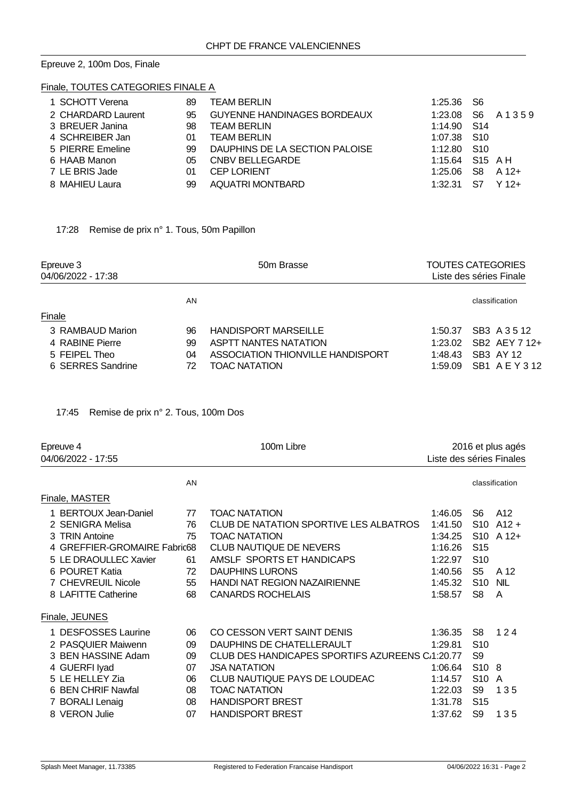#### Epreuve 2, 100m Dos, Finale

## Finale, TOUTES CATEGORIES FINALE A

| 1 SCHOTT Verena    | 89 | <b>TEAM BERLIN</b>                 | 1:25.36 S6      |    |              |
|--------------------|----|------------------------------------|-----------------|----|--------------|
| 2 CHARDARD Laurent | 95 | <b>GUYENNE HANDINAGES BORDEAUX</b> | 1:23.08         |    | S6 A 1 3 5 9 |
| 3 BREUER Janina    | 98 | <b>TEAM BERLIN</b>                 | 1:14.90 S14     |    |              |
| 4 SCHREIBER Jan    | 01 | <b>TEAM BERLIN</b>                 | 1:07.38 S10     |    |              |
| 5 PIERRE Emeline   | 99 | DAUPHINS DE LA SECTION PALOISE     | 1:12.80 S10     |    |              |
| 6 HAAB Manon       | 05 | CNBV BELLEGARDE                    | 1:15.64 S15 A H |    |              |
| 7 LE BRIS Jade     | 01 | <b>CEP LORIENT</b>                 | 1:25.06         | S8 | A 12+        |
| 8 MAHIEU Laura     | 99 | AQUATRI MONTBARD                   | 1:32.31         | S7 | $Y$ 12+      |

# 17:28 Remise de prix n° 1. Tous, 50m Papillon

| Epreuve 3<br>04/06/2022 - 17:38 | 50m Brasse                        |         | TOUTES CATEGORIES<br>Liste des séries Finale |  |  |
|---------------------------------|-----------------------------------|---------|----------------------------------------------|--|--|
| AN                              |                                   |         | classification                               |  |  |
| Finale                          |                                   |         |                                              |  |  |
| 96<br>3 RAMBAUD Marion          | <b>HANDISPORT MARSEILLE</b>       | 1:50.37 | SB3 A 3 5 12                                 |  |  |
| 4 RABINE Pierre<br>99           | <b>ASPTT NANTES NATATION</b>      | 1:23.02 | SB2 AEY 7 12+                                |  |  |
| 5 FEIPEL Theo<br>04             | ASSOCIATION THIONVILLE HANDISPORT | 1:48.43 | SB3 AY 12                                    |  |  |
| 6 SERRES Sandrine<br>72         | TOAC NATATION                     | 1:59.09 | SB1 A E Y 3 12                               |  |  |

17:45 Remise de prix n° 2. Tous, 100m Dos

| Epreuve 4<br>100m Libre<br>04/06/2022 - 17:55                                                                                                                                       |                                              | 2016 et plus agés<br>Liste des séries Finales                                                                                                                                                                                                      |                                                                                      |                                                                                                                                          |                                                      |
|-------------------------------------------------------------------------------------------------------------------------------------------------------------------------------------|----------------------------------------------|----------------------------------------------------------------------------------------------------------------------------------------------------------------------------------------------------------------------------------------------------|--------------------------------------------------------------------------------------|------------------------------------------------------------------------------------------------------------------------------------------|------------------------------------------------------|
|                                                                                                                                                                                     | AN                                           |                                                                                                                                                                                                                                                    |                                                                                      |                                                                                                                                          | classification                                       |
| Finale, MASTER                                                                                                                                                                      |                                              |                                                                                                                                                                                                                                                    |                                                                                      |                                                                                                                                          |                                                      |
| 1 BERTOUX Jean-Daniel<br>2 SENIGRA Melisa<br>3 TRIN Antoine<br>4 GREFFIER-GROMAIRE Fabric68<br>5 LE DRAOULLEC Xavier<br>6 POURET Katia<br>7 CHEVREUIL Nicole<br>8 LAFITTE Catherine | 77<br>76<br>75<br>61<br>72<br>55<br>68       | <b>TOAC NATATION</b><br>CLUB DE NATATION SPORTIVE LES ALBATROS<br><b>TOAC NATATION</b><br><b>CLUB NAUTIQUE DE NEVERS</b><br>AMSLF SPORTS ET HANDICAPS<br><b>DAUPHINS LURONS</b><br><b>HANDI NAT REGION NAZAIRIENNE</b><br><b>CANARDS ROCHELAIS</b> | 1:46.05<br>1:41.50<br>1:34.25<br>1:16.26<br>1:22.97<br>1:40.56<br>1:45.32<br>1:58.57 | S6<br>S <sub>15</sub><br>S <sub>10</sub><br>S5<br>S <sub>10</sub><br>S <sub>8</sub>                                                      | A12<br>$S10$ A12 +<br>$S10 A12+$<br>A 12<br>NIL<br>A |
| Finale, JEUNES                                                                                                                                                                      |                                              |                                                                                                                                                                                                                                                    |                                                                                      |                                                                                                                                          |                                                      |
| 1 DESFOSSES Laurine<br>2 PASQUIER Maiwenn<br>3 BEN HASSINE Adam<br>4 GUERFI Iyad<br>5 LE HELLEY Zia<br>6 BEN CHRIF Nawfal<br>7 BORALI Lenaig<br>8 VERON Julie                       | 06<br>09<br>09<br>07<br>06<br>08<br>08<br>07 | CO CESSON VERT SAINT DENIS<br>DAUPHINS DE CHATELLERAULT<br>CLUB DES HANDICAPES SPORTIFS AZUREENS C/1:20.77<br><b>JSA NATATION</b><br>CLUB NAUTIQUE PAYS DE LOUDEAC<br><b>TOAC NATATION</b><br><b>HANDISPORT BREST</b><br><b>HANDISPORT BREST</b>   | 1:36.35<br>1:29.81<br>1:06.64<br>1:14.57<br>1:22.03<br>1:31.78<br>1:37.62            | S8<br>S <sub>10</sub><br>S <sub>9</sub><br>S <sub>10</sub> 8<br>S <sub>10</sub> A<br>S <sub>9</sub><br>S <sub>15</sub><br>S <sub>9</sub> | 124<br>135<br>135                                    |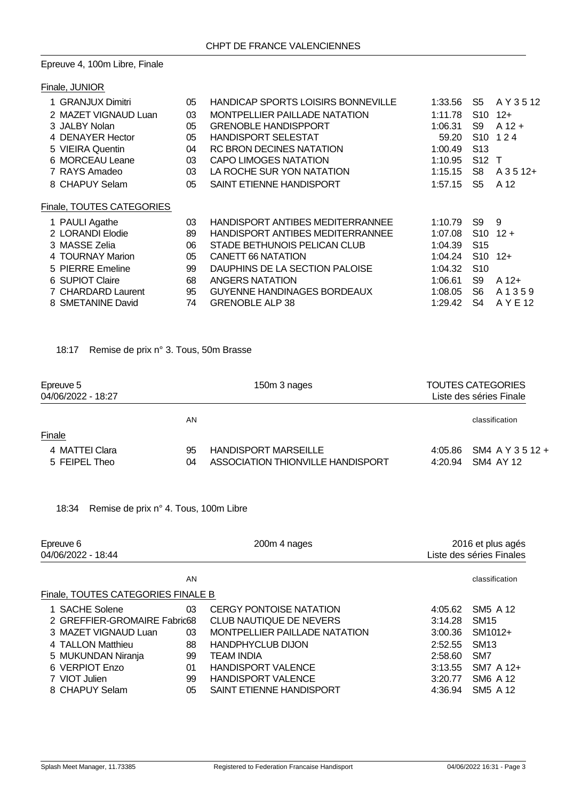## Epreuve 4, 100m Libre, Finale

| Finale, JUNIOR            |    |                                           |         |                 |             |
|---------------------------|----|-------------------------------------------|---------|-----------------|-------------|
|                           |    |                                           |         |                 |             |
| 1 GRANJUX Dimitri         | 05 | <b>HANDICAP SPORTS LOISIRS BONNEVILLE</b> | 1:33.56 | S5              | A Y 3 5 12  |
| 2 MAZET VIGNAUD Luan      | 03 | <b>MONTPELLIER PAILLADE NATATION</b>      | 1:11.78 | S <sub>10</sub> | $12+$       |
| 3 JALBY Nolan             | 05 | <b>GRENOBLE HANDISPPORT</b>               | 1:06.31 | S9              | $A$ 12 +    |
| 4 DENAYER Hector          | 05 | <b>HANDISPORT SELESTAT</b>                | 59.20   | S <sub>10</sub> | 124         |
| 5 VIEIRA Quentin          | 04 | <b>RC BRON DECINES NATATION</b>           | 1:00.49 | S <sub>13</sub> |             |
| 6 MORCEAU Leane           | 03 | <b>CAPO LIMOGES NATATION</b>              | 1:10.95 | S <sub>12</sub> | $\top$      |
| 7 RAYS Amadeo             | 03 | LA ROCHE SUR YON NATATION                 | 1:15.15 | S8              | $A$ 3 5 12+ |
| 8 CHAPUY Selam            | 05 | SAINT ETIENNE HANDISPORT                  | 1:57.15 | S5              | A 12        |
| Finale, TOUTES CATEGORIES |    |                                           |         |                 |             |
| 1 PAULI Agathe            | 03 | HANDISPORT ANTIBES MEDITERRANNEE          | 1:10.79 | S9              | 9           |
| 2 LORANDI Elodie          | 89 | HANDISPORT ANTIBES MEDITERRANNEE          | 1:07.08 | S <sub>10</sub> | $12 +$      |
| 3 MASSE Zelia             | 06 | STADE BETHUNOIS PELICAN CLUB              | 1:04.39 | S <sub>15</sub> |             |
| 4 TOURNAY Marion          | 05 | CANETT 66 NATATION                        | 1:04.24 | S <sub>10</sub> | $12+$       |
| 5 PIERRE Emeline          | 99 | DAUPHINS DE LA SECTION PALOISE            | 1:04.32 | S <sub>10</sub> |             |
| 6 SUPIOT Claire           | 68 | ANGERS NATATION                           | 1:06.61 | S9              | $A$ 12+     |
| 7 CHARDARD Laurent        | 95 | <b>GUYENNE HANDINAGES BORDEAUX</b>        | 1:08.05 | S6              | A 1 3 5 9   |
| 8 SMETANINE David         | 74 | <b>GRENOBLE ALP 38</b>                    | 1:29.42 | S4              | A Y E 12    |

# 18:17 Remise de prix n° 3. Tous, 50m Brasse

| Epreuve 5<br>04/06/2022 - 18:27 |          | 150m 3 nages                                                     |                    | <b>TOUTES CATEGORIES</b><br>Liste des séries Finale |
|---------------------------------|----------|------------------------------------------------------------------|--------------------|-----------------------------------------------------|
|                                 | ΑN       |                                                                  |                    | classification                                      |
| Finale                          |          |                                                                  |                    |                                                     |
| 4 MATTEI Clara<br>5 FEIPEL Theo | 95<br>04 | <b>HANDISPORT MARSEILLE</b><br>ASSOCIATION THIONVILLE HANDISPORT | 4:05.86<br>4:20.94 | SM4 A Y 3 5 12 +<br>SM4 AY 12                       |

|  | 18:34 Remise de prix n° 4. Tous, 100m Libre |  |  |  |  |  |  |
|--|---------------------------------------------|--|--|--|--|--|--|
|--|---------------------------------------------|--|--|--|--|--|--|

| Epreuve 6<br>04/06/2022 - 18:44    |    | 200m 4 nages                   |         | 2016 et plus agés<br>Liste des séries Finales |
|------------------------------------|----|--------------------------------|---------|-----------------------------------------------|
|                                    | AN |                                |         | classification                                |
| Finale, TOUTES CATEGORIES FINALE B |    |                                |         |                                               |
| 1 SACHE Solene                     | 03 | <b>CERGY PONTOISE NATATION</b> | 4:05.62 | SM <sub>5</sub> A 12                          |
| 2 GREFFIER-GROMAIRE Fabric68       |    | <b>CLUB NAUTIQUE DE NEVERS</b> | 3:14.28 | SM <sub>15</sub>                              |
| 3 MAZET VIGNAUD Luan               | 03 | MONTPELLIER PAILLADE NATATION  | 3:00.36 | SM1012+                                       |
| 4 TALLON Matthieu                  | 88 | <b>HANDPHYCLUB DIJON</b>       | 2:52.55 | <b>SM13</b>                                   |
| 5 MUKUNDAN Niranja                 | 99 | <b>TEAM INDIA</b>              | 2:58.60 | SM <sub>7</sub>                               |
| 6 VERPIOT Enzo                     | 01 | <b>HANDISPORT VALENCE</b>      | 3:13.55 | SM7 A 12+                                     |
| 7 VIOT Julien                      | 99 | <b>HANDISPORT VALENCE</b>      | 3:20.77 | SM6 A 12                                      |
| 8 CHAPUY Selam                     | 05 | SAINT ETIENNE HANDISPORT       | 4:36.94 | SM <sub>5</sub> A 12                          |